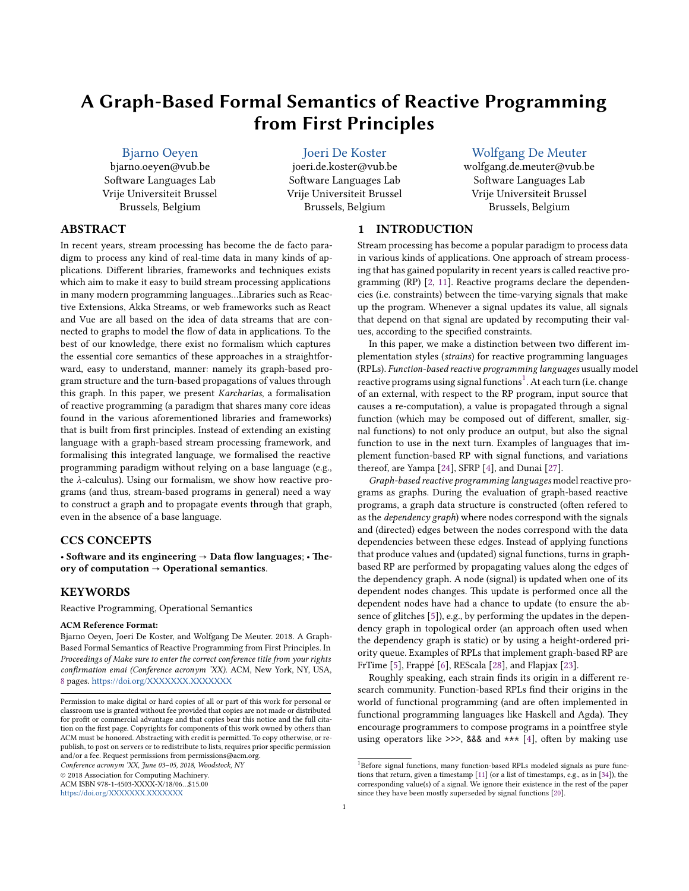# **A Graph-Based Formal Semantics of Reactive Programming from First Principles**

## [Bjarno Oeyen](https://orcid.org/0000-0002-2100-4559)

bjarno.oeyen@vub.be Software Languages Lab Vrije Universiteit Brussel Brussels, Belgium

[Joeri De Koster](https://orcid.org/0000-0002-2932-8208)

joeri.de.koster@vub.be Software Languages Lab Vrije Universiteit Brussel Brussels, Belgium

## [Wolfgang De Meuter](https://orcid.org/0000-0002-5229-5627)

wolfgang.de.meuter@vub.be Software Languages Lab Vrije Universiteit Brussel Brussels, Belgium

# **ABSTRACT**

In recent years, stream processing has become the de facto paradigm to process any kind of real-time data in many kinds of applications. Different libraries, frameworks and techniques exists which aim to make it easy to build stream processing applications in many modern programming languages…Libraries such as Reactive Extensions, Akka Streams, or web frameworks such as React and Vue are all based on the idea of data streams that are connected to graphs to model the flow of data in applications. To the best of our knowledge, there exist no formalism which captures the essential core semantics of these approaches in a straightforward, easy to understand, manner: namely its graph-based program structure and the turn-based propagations of values through this graph. In this paper, we present *Karcharias*, a formalisation of reactive programming (a paradigm that shares many core ideas found in the various aforementioned libraries and frameworks) that is built from first principles. Instead of extending an existing language with a graph-based stream processing framework, and formalising this integrated language, we formalised the reactive programming paradigm without relying on a base language (e.g., the  $\lambda$ -calculus). Using our formalism, we show how reactive programs (and thus, stream-based programs in general) need a way to construct a graph and to propagate events through that graph, even in the absence of a base language.

#### **CCS CONCEPTS**

• **Software and its engineering** → **Data flow languages**; • **Theory of computation** → **Operational semantics**.

## **KEYWORDS**

Reactive Programming, Operational Semantics

#### **ACM Reference Format:**

Bjarno Oeyen, Joeri De Koster, and Wolfgang De Meuter. 2018. A Graph-Based Formal Semantics of Reactive Programming from First Principles. In *Proceedings of Make sure to enter the correct conference title from your rights confirmation emai (Conference acronym 'XX).* ACM, New York, NY, USA, [8](#page-7-0) pages. <https://doi.org/XXXXXXX.XXXXXXX>

*Conference acronym 'XX, June 03–05, 2018, Woodstock, NY*

© 2018 Association for Computing Machinery.

ACM ISBN 978-1-4503-XXXX-X/18/06…\$15.00

<https://doi.org/XXXXXXX.XXXXXXX>

## **1 INTRODUCTION**

Stream processing has become a popular paradigm to process data in various kinds of applications. One approach of stream processing that has gained popularity in recent years is called reactive programming (RP) [\[2](#page-6-0), [11\]](#page-6-1). Reactive programs declare the dependencies (i.e. constraints) between the time-varying signals that make up the program. Whenever a signal updates its value, all signals that depend on that signal are updated by recomputing their values, according to the specified constraints.

In this paper, we make a distinction between two different implementation styles (*strains*) for reactive programming languages (RPLs). *Function-based reactive programming languages* usually model reactive programs using signal functions<sup>[1](#page-0-0)</sup>. At each turn (i.e. change of an external, with respect to the RP program, input source that causes a re-computation), a value is propagated through a signal function (which may be composed out of different, smaller, signal functions) to not only produce an output, but also the signal function to use in the next turn. Examples of languages that implement function-based RP with signal functions, and variations thereof, are Yampa [\[24](#page-6-2)], SFRP [\[4](#page-6-3)], and Dunai [\[27\]](#page-6-4).

*Graph-based reactive programming languages* model reactive programs as graphs. During the evaluation of graph-based reactive programs, a graph data structure is constructed (often refered to as the *dependency graph*) where nodes correspond with the signals and (directed) edges between the nodes correspond with the data dependencies between these edges. Instead of applying functions that produce values and (updated) signal functions, turns in graphbased RP are performed by propagating values along the edges of the dependency graph. A node (signal) is updated when one of its dependent nodes changes. This update is performed once all the dependent nodes have had a chance to update (to ensure the absence of glitches[[5](#page-6-5)]), e.g., by performing the updates in the dependency graph in topological order (an approach often used when the dependency graph is static) or by using a height-ordered priority queue. Examples of RPLs that implement graph-based RP are FrTime[[5\]](#page-6-5), Frappé[[6\]](#page-6-6), REScala[[28](#page-6-7)], and Flapjax [\[23](#page-6-8)].

Roughly speaking, each strain finds its origin in a different research community. Function-based RPLs find their origins in the world of functional programming (and are often implemented in functional programming languages like Haskell and Agda). They encourage programmers to compose programs in a pointfree style using operators like  $\gg$ , &&& and \*\*\* [\[4](#page-6-3)], often by making use

Permission to make digital or hard copies of all or part of this work for personal or classroom use is granted without fee provided that copies are not made or distributed for profit or commercial advantage and that copies bear this notice and the full citation on the first page. Copyrights for components of this work owned by others than ACM must be honored. Abstracting with credit is permitted. To copy otherwise, or republish, to post on servers or to redistribute to lists, requires prior specific permission and/or a fee. Request permissions from permissions@acm.org.

<span id="page-0-0"></span><sup>&</sup>lt;sup>1</sup>Before signal functions, many function-based RPLs modeled signals as pure functions that return, given a timestamp[[11](#page-6-1)] (or a list of timestamps, e.g., as in[[34](#page-6-9)]), the corresponding value(s) of a signal. We ignore their existence in the rest of the paper since they have been mostly superseded by signal functions [\[20\]](#page-6-10).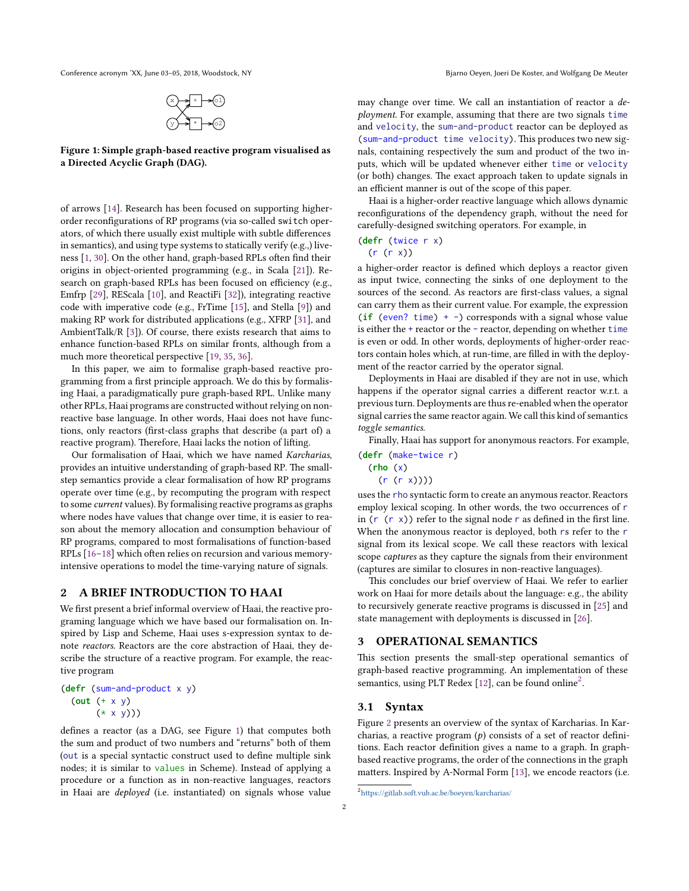<span id="page-1-0"></span>Conference acronym 'XX, June 03-05, 2018, Woodstock, NY Bjarno Oeyen, Joeri De Koster, and Wolfgang De Meuter



**Figure 1: Simple graph-based reactive program visualised as a Directed Acyclic Graph (DAG).**

of arrows [\[14\]](#page-6-11). Research has been focused on supporting higherorder reconfigurations of RP programs (via so-called switch operators, of which there usually exist multiple with subtle differences in semantics), and using type systems to statically verify (e.g.,) liveness [\[1](#page-6-12), [30\]](#page-6-13). On the other hand, graph-based RPLs often find their origins in object-oriented programming (e.g., in Scala[[21\]](#page-6-14)). Research on graph-based RPLs has been focused on efficiency (e.g., Emfrp[[29](#page-6-15)], REScala [\[10\]](#page-6-16), and ReactiFi[[32\]](#page-6-17)), integrating reactive code with imperative code (e.g., FrTime [\[15\]](#page-6-18), and Stella [\[9\]](#page-6-19)) and making RP work for distributed applications (e.g., XFRP[[31\]](#page-6-20), and AmbientTalk/R [\[3\]](#page-6-21)). Of course, there exists research that aims to enhance function-based RPLs on similar fronts, although from a much more theoretical perspective [\[19,](#page-6-22) [35](#page-6-23), [36\]](#page-7-1).

In this paper, we aim to formalise graph-based reactive programming from a first principle approach. We do this by formalising Haai, a paradigmatically pure graph-based RPL. Unlike many other RPLs, Haai programs are constructed without relying on nonreactive base language. In other words, Haai does not have functions, only reactors (first-class graphs that describe (a part of) a reactive program). Therefore, Haai lacks the notion of lifting.

Our formalisation of Haai, which we have named *Karcharias*, provides an intuitive understanding of graph-based RP. The smallstep semantics provide a clear formalisation of how RP programs operate over time (e.g., by recomputing the program with respect to some *current* values). By formalising reactive programs as graphs where nodes have values that change over time, it is easier to reason about the memory allocation and consumption behaviour of RP programs, compared to most formalisations of function-based RPLs [\[16](#page-6-24)[–18\]](#page-6-25) which often relies on recursion and various memoryintensive operations to model the time-varying nature of signals.

## **2 A BRIEF INTRODUCTION TO HAAI**

We first present a brief informal overview of Haai, the reactive programing language which we have based our formalisation on. Inspired by Lisp and Scheme, Haai uses s-expression syntax to denote *reactors*. Reactors are the core abstraction of Haai, they describe the structure of a reactive program. For example, the reactive program

(**defr** (sum-and-product x y) (**out** (+ x y)  $(* x y)))$ 

defines a reactor (as a DAG, see Figure [1](#page-1-0)) that computes both the sum and product of two numbers and "returns" both of them (out is a special syntactic construct used to define multiple sink nodes; it is similar to values in Scheme). Instead of applying a procedure or a function as in non-reactive languages, reactors in Haai are *deployed* (i.e. instantiated) on signals whose value may change over time. We call an instantiation of reactor a *deployment*. For example, assuming that there are two signals time and velocity, the sum-and-product reactor can be deployed as (sum-and-product time velocity). This produces two new signals, containing respectively the sum and product of the two inputs, which will be updated whenever either time or velocity (or both) changes. The exact approach taken to update signals in an efficient manner is out of the scope of this paper.

Haai is a higher-order reactive language which allows dynamic reconfigurations of the dependency graph, without the need for carefully-designed switching operators. For example, in

$$
(\text{defr (twice } r x))
$$

 $(r (r x))$ 

a higher-order reactor is defined which deploys a reactor given as input twice, connecting the sinks of one deployment to the sources of the second. As reactors are first-class values, a signal can carry them as their current value. For example, the expression (**if** (even? time) + -) corresponds with a signal whose value is either the + reactor or the - reactor, depending on whether time is even or odd. In other words, deployments of higher-order reactors contain holes which, at run-time, are filled in with the deployment of the reactor carried by the operator signal.

Deployments in Haai are disabled if they are not in use, which happens if the operator signal carries a different reactor w.r.t. a previous turn. Deployments are thus re-enabled when the operator signal carries the same reactor again. We call this kind of semantics *toggle semantics*.

Finally, Haai has support for anonymous reactors. For example,

```
(defr (make-twice r)
 (rho (x)
   (r (r x))))
```
uses the rho syntactic form to create an anymous reactor. Reactors employ lexical scoping. In other words, the two occurrences of r in  $(r (r x))$  refer to the signal node r as defined in the first line. When the anonymous reactor is deployed, both rs refer to the r signal from its lexical scope. We call these reactors with lexical scope *captures* as they capture the signals from their environment (captures are similar to closures in non-reactive languages).

This concludes our brief overview of Haai. We refer to earlier work on Haai for more details about the language: e.g., the ability to recursively generate reactive programs is discussed in[[25](#page-6-26)] and state management with deployments is discussed in [\[26](#page-6-27)].

#### **3 OPERATIONAL SEMANTICS**

This section presents the small-step operational semantics of graph-based reactive programming. An implementation of these semantics, using PLT Redex [\[12\]](#page-6-28), can be found online<sup>[2](#page-1-1)</sup>.

#### <span id="page-1-2"></span>**3.1 Syntax**

Figure [2](#page-2-0) presents an overview of the syntax of Karcharias. In Karcharias, a reactive program  $(p)$  consists of a set of reactor definitions. Each reactor definition gives a name to a graph. In graphbased reactive programs, the order of the connections in the graph matters. Inspired by A-Normal Form[[13\]](#page-6-29), we encode reactors (i.e.

<span id="page-1-1"></span><sup>2</sup> <https://gitlab.soft.vub.ac.be/boeyen/karcharias/>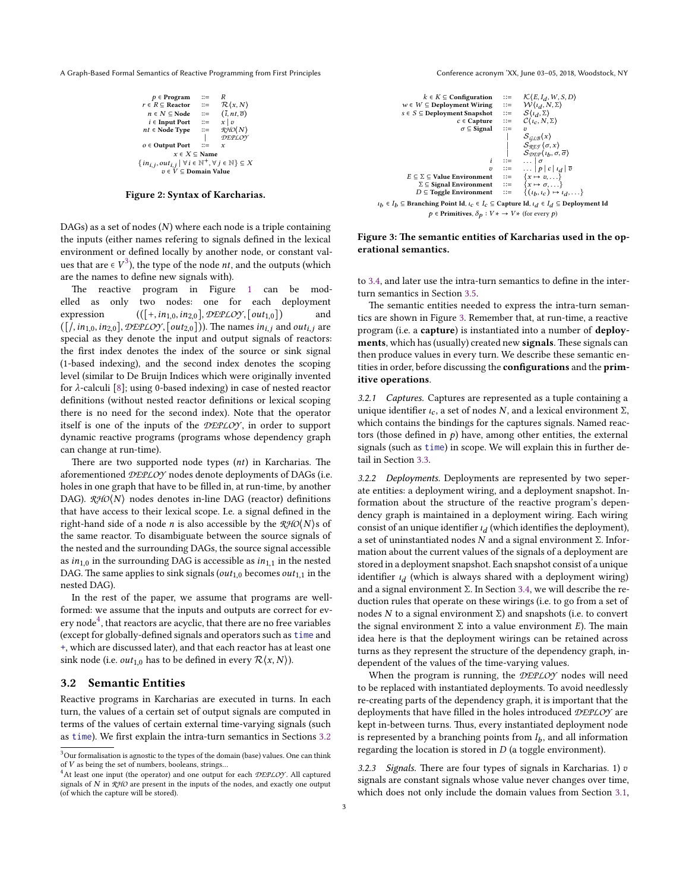<span id="page-2-0"></span>A Graph-Based Formal Semantics of Reactive Programming from First Principles Conference acronym 'XX, June 03–05, 2018, Woodstock, NY

| $p \in Program$                                                                                                                    |    | R                                  |
|------------------------------------------------------------------------------------------------------------------------------------|----|------------------------------------|
| $r \in R \subseteq$ Reactor                                                                                                        |    | $\mathcal{R}(x,N)$                 |
| $n \in N \subseteq$ Node                                                                                                           | ∷≕ | $(\overline{i}, nt, \overline{o})$ |
| $i \in$ Input Port                                                                                                                 | ∷≕ | $x \mid v$                         |
| $nt \in Node$ Type                                                                                                                 | ≔  | RHO(N)                             |
|                                                                                                                                    |    | DEPLOY                             |
| $o \in$ Output Port                                                                                                                |    | x                                  |
| $x \in X \subseteq \mathbf{Name}$                                                                                                  |    |                                    |
| $\{in_{i,j}, out_{i,j} \mid \forall i \in \mathbb{N}^+, \forall j \in \mathbb{N}\}\subseteq X$<br>$v \in V \subseteq$ Domain Value |    |                                    |
|                                                                                                                                    |    |                                    |

#### **Figure 2: Syntax of Karcharias.**

DAGs) as a set of nodes  $(N)$  where each node is a triple containing the inputs (either names refering to signals defined in the lexical environment or defined locally by another node, or constant values that are  $\in V^3$  $\in V^3$ ), the type of the node *nt*, and the outputs (which are the names to define new signals with).

The reactive program in Figure [1](#page-1-0) can be modelled as only two nodes: one for each deployment expression  $((\lceil +, in_{1,0}, in_{2,0} \rceil, \mathcal{DEPLOY}, \lceil out_{1,0} \rceil)$  and  $([1, in_{1,0}, in_{2,0}],$   $\mathcal{DEPLOY}, [out_{2,0}]))$ . The names  $in_{i,j}$  and  $out_{i,j}$  are special as they denote the input and output signals of reactors: the first index denotes the index of the source or sink signal (1-based indexing), and the second index denotes the scoping level (similar to De Bruijn Indices which were originally invented for $\lambda$ -calculi [[8\]](#page-6-30); using 0-based indexing) in case of nested reactor definitions (without nested reactor definitions or lexical scoping there is no need for the second index). Note that the operator itself is one of the inputs of the *DEPLOY* , in order to support dynamic reactive programs (programs whose dependency graph can change at run-time).

There are two supported node types  $(nt)$  in Karcharias. The aforementioned *DEPLOY* nodes denote deployments of DAGs (i.e. holes in one graph that have to be filled in, at run-time, by another DAG). *RHO*(N) nodes denotes in-line DAG (reactor) definitions that have access to their lexical scope. I.e. a signal defined in the right-hand side of a node *n* is also accessible by the  $\mathcal{RHO}(N)$ s of the same reactor. To disambiguate between the source signals of the nested and the surrounding DAGs, the source signal accessible as  $in_{1,0}$  in the surrounding DAG is accessible as  $in_{1,1}$  in the nested DAG. The same applies to sink signals ( $out_{1,0}$  becomes  $out_{1,1}$  in the nested DAG).

In the rest of the paper, we assume that programs are wellformed: we assume that the inputs and outputs are correct for ev-ery node<sup>[4](#page-2-2)</sup>, that reactors are acyclic, that there are no free variables (except for globally-defined signals and operators such as time and +, which are discussed later), and that each reactor has at least one sink node (i.e.  $out_{1,0}$  has to be defined in every  $\mathcal{R}(x, N)$ ).

#### <span id="page-2-3"></span>**3.2 Semantic Entities**

Reactive programs in Karcharias are executed in turns. In each turn, the values of a certain set of output signals are computed in terms of the values of certain external time-varying signals (such as time). We first explain the intra-turn semantics in Sections [3.2](#page-2-3)

<span id="page-2-4"></span>

#### **Figure 3: The semantic entities of Karcharias used in the operational semantics.**

to [3.4,](#page-3-0) and later use the intra-turn semantics to define in the interturn semantics in Section [3.5](#page-5-0).

The semantic entities needed to express the intra-turn semantics are shown in Figure [3](#page-2-4). Remember that, at run-time, a reactive program (i.e. a **capture**) is instantiated into a number of **deployments**, which has (usually) created new **signals**. These signals can then produce values in every turn. We describe these semantic entities in order, before discussing the **configurations** and the **primitive operations**.

3.2.1 Captures. Captures are represented as a tuple containing a unique identifier  $\iota_c$ , a set of nodes N, and a lexical environment  $\Sigma$ , which contains the bindings for the captures signals. Named reactors (those defined in  $p$ ) have, among other entities, the external signals (such as time) in scope. We will explain this in further detail in Section [3.3.](#page-3-1)

3.2.2 Deployments. Deployments are represented by two seperate entities: a deployment wiring, and a deployment snapshot. Information about the structure of the reactive program's dependency graph is maintained in a deployment wiring. Each wiring consist of an unique identifier  $\iota_d$  (which identifies the deployment), a set of uninstantiated nodes  $N$  and a signal environment Σ. Information about the current values of the signals of a deployment are stored in a deployment snapshot. Each snapshot consist of a unique identifier  $\iota_d$  (which is always shared with a deployment wiring) and a signal environment Σ. In Section [3.4,](#page-3-0) we will describe the reduction rules that operate on these wirings (i.e. to go from a set of nodes  $N$  to a signal environment  $\Sigma$ ) and snapshots (i.e. to convert the signal environment  $\Sigma$  into a value environment  $E$ ). The main idea here is that the deployment wirings can be retained across turns as they represent the structure of the dependency graph, independent of the values of the time-varying values.

When the program is running, the *DEPLOY* nodes will need to be replaced with instantiated deployments. To avoid needlessly re-creating parts of the dependency graph, it is important that the deployments that have filled in the holes introduced *DEPLOY* are kept in-between turns. Thus, every instantiated deployment node is represented by a branching points from  $I<sub>b</sub>$ , and all information regarding the location is stored in  $D$  (a toggle environment).

3.2.3 Signals. There are four types of signals in Karcharias. 1)  $v$ signals are constant signals whose value never changes over time, which does not only include the domain values from Section [3.1](#page-1-2),

<span id="page-2-1"></span> $^3$  Our formalisation is agnostic to the types of the domain (base) values. One can think of  $V$  as being the set of numbers, booleans, strings...

<span id="page-2-2"></span><sup>4</sup>At least one input (the operator) and one output for each *DEPLOY* . All captured signals of N in  $\mathcal{RHO}$  are present in the inputs of the nodes, and exactly one output (of which the capture will be stored).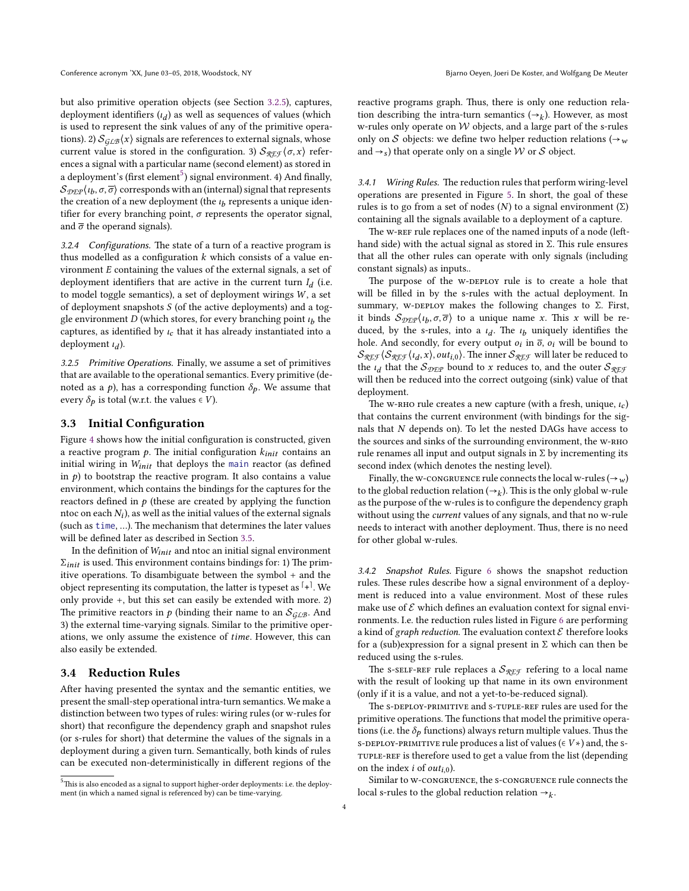but also primitive operation objects (see Section [3.2.5](#page-3-2)), captures, deployment identifiers  $(l_d)$  as well as sequences of values (which is used to represent the sink values of any of the primitive operations). 2)  $S_{G\text{L}B}(x)$  signals are references to external signals, whose current value is stored in the configuration. 3)  $S_{\mathcal{R}E\mathcal{F}}(\sigma, x)$  references a signal with a particular name (second element) as stored in a deployment's (first element $^5$  $^5$ ) signal environment. 4) And finally,  $\mathcal{S}_{\mathcal{D}\mathcal{E}\mathcal{P}}(t_b,\sigma,\overline{\sigma})$  corresponds with an (internal) signal that represents the creation of a new deployment (the  $\iota_b$  represents a unique identifier for every branching point,  $\sigma$  represents the operator signal, and  $\bar{\sigma}$  the operand signals).

3.2.4 Configurations. The state of a turn of a reactive program is thus modelled as a configuration  $k$  which consists of a value environment  $E$  containing the values of the external signals, a set of deployment identifiers that are active in the current turn  $I_d$  (i.e. to model toggle semantics), a set of deployment wirings  $W$ , a set of deployment snapshots  $S$  (of the active deployments) and a toggle environment  $\overline{D}$  (which stores, for every branching point  $\iota_b$  the captures, as identified by  $\iota_c$  that it has already instantiated into a deployment  $\iota_d$ ).

<span id="page-3-2"></span>3.2.5 Primitive Operations. Finally, we assume a set of primitives that are available to the operational semantics. Every primitive (denoted as a  $p$ ), has a corresponding function  $\delta_p$ . We assume that every  $\delta_p$  is total (w.r.t. the values  $\in V$ ).

#### <span id="page-3-1"></span>**3.3 Initial Configuration**

Figure [4](#page-4-0) shows how the initial configuration is constructed, given a reactive program  $p$ . The initial configuration  $k_{init}$  contains an initial wiring in  $W_{init}$  that deploys the main reactor (as defined in  $p$ ) to bootstrap the reactive program. It also contains a value environment, which contains the bindings for the captures for the reactors defined in  $p$  (these are created by applying the function ntoc on each  $N_i$ ), as well as the initial values of the external signals (such as time, …). The mechanism that determines the later values will be defined later as described in Section [3.5](#page-5-0).

In the definition of  $W_{init}$  and ntoc an initial signal environment  $\Sigma_{init}$  is used. This environment contains bindings for: 1) The primitive operations. To disambiguate between the symbol + and the object representing its computation, the latter is typeset as  $\pm\pm$ . We only provide +, but this set can easily be extended with more. 2) The primitive reactors in  $p$  (binding their name to an  $S_{GLB}$ . And 3) the external time-varying signals. Similar to the primitive operations, we only assume the existence of time. However, this can also easily be extended.

#### <span id="page-3-0"></span>**3.4 Reduction Rules**

After having presented the syntax and the semantic entities, we present the small-step operational intra-turn semantics. We make a distinction between two types of rules: wiring rules (or w-rules for short) that reconfigure the dependency graph and snapshot rules (or s-rules for short) that determine the values of the signals in a deployment during a given turn. Semantically, both kinds of rules can be executed non-deterministically in different regions of the reactive programs graph. Thus, there is only one reduction relation describing the intra-turn semantics  $(\rightarrow_k)$ . However, as most w-rules only operate on  $W$  objects, and a large part of the s-rules only on S objects: we define two helper reduction relations ( $\rightarrow_w$ and  $\rightarrow$  s) that operate only on a single W or S object.

3.4.1 Wiring Rules. The reduction rules that perform wiring-level operations are presented in Figure [5.](#page-4-1) In short, the goal of these rules is to go from a set of nodes ( $N$ ) to a signal environment ( $\Sigma$ ) containing all the signals available to a deployment of a capture.

The W-REF rule replaces one of the named inputs of a node (lefthand side) with the actual signal as stored in Σ. This rule ensures that all the other rules can operate with only signals (including constant signals) as inputs..

The purpose of the W-DEPLOY rule is to create a hole that will be filled in by the s-rules with the actual deployment. In summary, w-DEPLOY makes the following changes to  $\Sigma$ . First, it binds  $S_{\text{DEP}}(t_b, \sigma, \overline{\sigma})$  to a unique name x. This x will be reduced, by the s-rules, into a  $\iota_d$ . The  $\iota_b$  uniquely identifies the hole. And secondly, for every output  $o_i$  in  $\overline{o}$ ,  $o_i$  will be bound to  $\mathcal{S}_{\mathcal{R}\mathcal{E}\mathcal{F}}\langle \mathcal{S}_{\mathcal{R}\mathcal{E}\mathcal{F}}\langle \iota_d, x \rangle$ ,  $out_{i,0}$ ). The inner  $\mathcal{S}_{\mathcal{R}\mathcal{E}\mathcal{F}}$  will later be reduced to the  $\iota_d$  that the  $S_{\mathcal{DEP}}$  bound to *x* reduces to, and the outer  $S_{\mathcal{RFP}}$ will then be reduced into the correct outgoing (sink) value of that deployment.

The w-RHO rule creates a new capture (with a fresh, unique,  $\iota_c$ ) that contains the current environment (with bindings for the signals that  $N$  depends on). To let the nested DAGs have access to the sources and sinks of the surrounding environment, the w-Rho rule renames all input and output signals in  $\Sigma$  by incrementing its second index (which denotes the nesting level).

Finally, the w-congruence rule connects the local w-rules ( $\rightarrow$ <sub>w</sub>) to the global reduction relation ( $\rightarrow$ <sub>k</sub>). This is the only global w-rule as the purpose of the w-rules is to configure the dependency graph without using the *current* values of any signals, and that no w-rule needs to interact with another deployment. Thus, there is no need for other global w-rules.

3.4.2 Snapshot Rules. Figure [6](#page-4-2) shows the snapshot reduction rules. These rules describe how a signal environment of a deployment is reduced into a value environment. Most of these rules make use of  $\mathcal E$  which defines an evaluation context for signal environments. I.e. the reduction rules listed in Figure [6](#page-4-2) are performing a kind of *graph reduction*. The evaluation context  $\mathcal E$  therefore looks for a (sub)expression for a signal present in  $\Sigma$  which can then be reduced using the s-rules.

The s-self-REF rule replaces a  $S_{\mathcal{R} \to \mathcal{F}}$  refering to a local name with the result of looking up that name in its own environment (only if it is a value, and not a yet-to-be-reduced signal).

The s-DEPLOY-PRIMITIVE and S-TUPLE-REF rules are used for the primitive operations. The functions that model the primitive operations (i.e. the  $\delta_p$  functions) always return multiple values. Thus the s-DEPLOY-PRIMITIVE rule produces a list of values ( $\in V*$ ) and, the stuple-Ref is therefore used to get a value from the list (depending on the index *i* of  $out_{i,0}$ ).

Similar to w-congRuence, the s-congRuence rule connects the local s-rules to the global reduction relation  $\rightarrow_k$ .

<span id="page-3-3"></span> $^{5}$  This is also encoded as a signal to support higher-order deployments: i.e. the deployment (in which a named signal is referenced by) can be time-varying.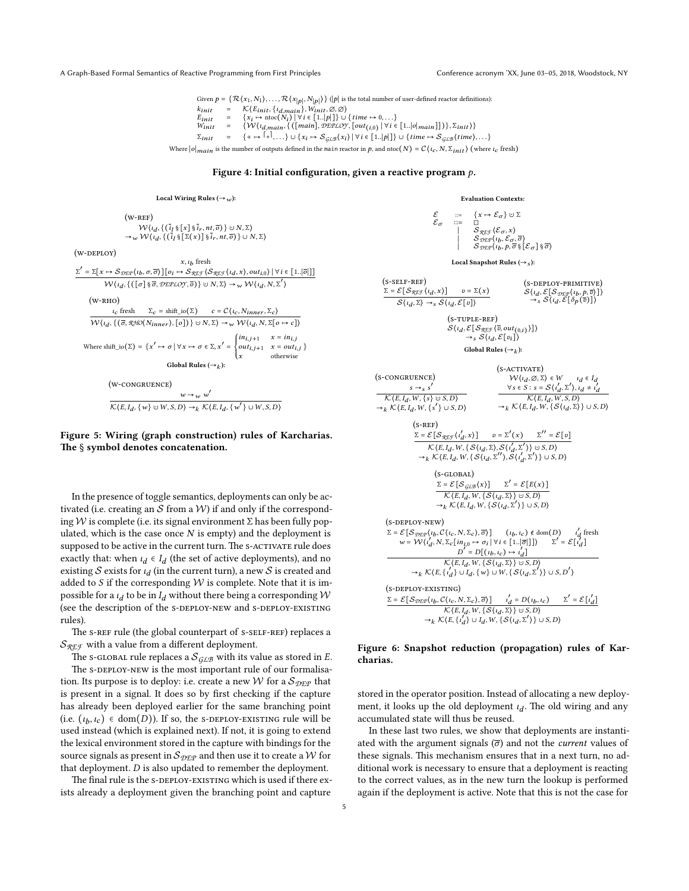<span id="page-4-0"></span>A Graph-Based Formal Semantics of Reactive Programming from First Principles Conference acronym 'XX, June 03–05, 2018, Woodstock, NY

Given  $p = \{ \mathcal{R}(x_1, N_1), \ldots, \mathcal{R}(x_{|p|}, N_{|p|}) \}$  (|p| is the total number of user-defined reactor definitions):  $k_{init} = \mathcal{K}\{E_{init}, \{i_{d,main}\}, \hat{W}_{init}, \emptyset, \emptyset\}$ <br>  $E_{init} = \{X_i \mapsto \text{ntoc}(N_i) \mid \forall i \in [1..|p|]\} \cup \{time \mapsto 0, ...\}$ <br>  $W_{init} = \{W\{i_{d,main}, \{(\text{main}\}, \text{DEPLOY}, \{\text{out}_{(i,0)} \mid \forall i \in [1..|\text{o}|\text{main}]\}), \Sigma_{init}\}\}$ 

 $\Sigma_{init}$  = {+  $\mapsto$   $|$ + $|$ ,...}  $\cup$  { $x_i \mapsto S_{\mathcal{GLB}}(x_i)$  |  $\forall i \in [1..|p|]$ }  $\cup$  {time  $\mapsto S_{\mathcal{GLB}}(time)$ ,...}

Where  $|o|_{main}$  is the number of outputs defined in the main reactor in p, and ntoc(N) =  $C(t_c, N, \Sigma_{init})$  (where  $t_c$  fresh)

#### **Figure 4: Initial configuration, given a reactive program .**

(s-self-Ref)

 $\Sigma = \mathcal{E} \big[ \mathcal{S}_{\mathcal{R} \mathcal{L} \mathcal{F}} \big( \iota_d, x \big) \big]$   $v = \Sigma(x)$  $S\langle i_d, \Sigma \rangle \rightarrow_S S\langle i_d, \mathcal{E}[v] \rangle$ 

#### Local Wiring Rules  $(\rightarrow_w)$ :

<span id="page-4-1"></span>
$$
\begin{aligned}\n &\text{(W-REF)}\\ \mathcal{W}\{l_d, \{\{\bar{i}_l\}_{\bar{s}}\left[\bar{x}_l\right]\}_{\bar{s}}\bar{i}_r, nt, \bar{o}\} \cup N, \Sigma\} \\
&\rightarrow_{w} \mathcal{W}\{l_d, \{\{\bar{i}_l\}_{\bar{s}}\left[\Sigma(x)\right]\}_{\bar{s}}\bar{i}_r, nt, \bar{o}\} \cup N, \Sigma\} \\
&\rightarrow_{w} \mathcal{W}\{l_d, \{\{\bar{i}_l\}_{\bar{s}}\left[\Sigma(x)\right]\}_{\bar{s}}\bar{i}_r, nt, \bar{o}\} \} \cup N, \Sigma\n \end{aligned}
$$
\n
$$
\begin{aligned}\n &\text{SDEPLOY}\n &\rightarrow_{w} \mathcal{S}_{\mathcal{D}\mathcal{L}\mathcal{P}}\{l_b, \sigma, \bar{\sigma}\}\left[\left[\sigma_i \mapsto \mathcal{S}_{\mathcal{R}\mathcal{L}\mathcal{F}}\left(l_d, x\right), out_{i,0}\right] \mid \forall i \in [1..|\bar{o}]\right]\n \end{aligned}
$$
\n
$$
\begin{aligned}\n &\text{(W-RHO)}\\ \n &\text{(w-RHO)}\\ \n &\text{(w-RHO)}\\ \n &\text{(w-RHO)}\\ \n &\text{(w-RHO)}\\ \n &\text{(w-RHO)}\\ \n &\text{(w-RHO)}\\ \n &\text{(w-RHO)}\\ \n &\text{(w-RHO)}\\ \n &\text{(w-RHO)}\\ \n &\text{(w-RHO)}\\ \n &\text{(w,RHO)}\\ \n &\text{(w,RHO)}\\ \n &\text{(w,RHO)}\\ \n &\text{(w,RHO)}\\ \n &\text{(w,RHO)}\\ \n &\text{(w,RHO)}\\ \n &\text{(w,RHO)}\\ \n &\text{(w,RHO)}\\ \n &\text{(w,RHO)}\\ \n &\text{(w,RHO)}\\ \n &\text{(w,RHO)}\\ \n &\text{(w,RHO)}\\ \n &\text{(w,RHO)}\\ \n &\text{(w,RHO)}\\ \n &\text{(w,RHO)}\\ \n &\text{(w,RHO)}\\ \n &\text{(w,RHO)}\\ \n &\text{(w,RHO)}\\ \n &\text{(w,RHO)}\\ \n &\text{(w,RHO)}\\ \n &\
$$

(w-congRuence) ′

 $(w<sub>0</sub>)$ 

Σ ′

 $w \rightarrow w w$  $\mathcal{K}\langle E, I_d, \{w\} \cup W, S, D\rangle \rightarrow_k \mathcal{K}\langle E, I_d, \{w'\}\cup W, S, D\rangle$ 

#### **Figure 5: Wiring (graph construction) rules of Karcharias. The** § **symbol denotes concatenation.**

In the presence of toggle semantics, deployments can only be activated (i.e. creating an  $S$  from a  $W$ ) if and only if the corresponding W is complete (i.e. its signal environment  $\Sigma$  has been fully populated, which is the case once  $N$  is empty) and the deployment is supposed to be active in the current turn. The S-ACTIVATE rule does exactly that: when  $\iota_d \in I_d$  (the set of active deployments), and no existing  $S$  exists for  $i_d$  (in the current turn), a new  $S$  is created and added to  $S$  if the corresponding  $W$  is complete. Note that it is impossible for a  $\iota_d$  to be in  $I_d$  without there being a corresponding  ${\mathcal W}$ (see the description of the s-DEPLOY-NEW and s-DEPLOY-EXISTING rules).

The s-REF rule (the global counterpart of s-SELF-REF) replaces a  $S_{\mathcal{R}E\mathcal{F}}$  with a value from a different deployment.

The s-GLOBAL rule replaces a  $\mathcal{S}_{G\perp B}$  with its value as stored in E. The s-DEPLOY-NEW is the most important rule of our formalisation. Its purpose is to deploy: i.e. create a new W for a  $S_{\text{DEP}}$  that is present in a signal. It does so by first checking if the capture has already been deployed earlier for the same branching point (i.e.  $(\iota_b, \iota_c) \in \text{dom}(D)$ ). If so, the s-DEPLOY-EXISTING rule will be used instead (which is explained next). If not, it is going to extend the lexical environment stored in the capture with bindings for the source signals as present in  $\mathcal{S}_{\mathcal{DEP}}$  and then use it to create a W for that deployment.  $D$  is also updated to remember the deployment.

The final rule is the s-DEPLOY-EXISTING which is used if there exists already a deployment given the branching point and capture

#### **Evaluation Contexts:**

<span id="page-4-2"></span>
$$
\mathcal{E}_{\sigma} \quad := \quad \left\{ \begin{array}{ll} x \mapsto \mathcal{E}_{\sigma} \} \cup \Sigma \\ \vdots \\ \Box \quad \Box \quad \mathcal{E}_{\mathcal{R} \mathcal{F}}(\mathcal{E}_{\sigma}, x) \\ \varphi_{\mathcal{S} \mathcal{F} \mathcal{F}}(\mathcal{E}_{\sigma}, x) \\ \varphi_{\mathcal{D} \mathcal{F}}(t_b, \mathcal{E}_{\sigma}, \overline{\sigma}) \\ \varphi_{\mathcal{D} \mathcal{F}}(t_b, p, \overline{\sigma} \S [\mathcal{E}_{\sigma}] \S \overline{\sigma}) \end{array} \right.
$$

**Local Snapshot Rules (**→ **):**

$$
(\text{S-DEPLOY-PRIMITIVE})\nS\langle\iota_d, \mathcal{E}[\mathcal{S_{DEP}}(\iota_b, p, \overline{v})]\rangle\n\rightarrow_S \mathcal{S}\langle\iota_d, \mathcal{E}[\delta_P(\overline{v})]\rangle
$$

$$
(S-TUPLE-REF)
$$
  
\n
$$
S\{t_d, \mathcal{E}[S_{\mathcal{R}\mathcal{F}\mathcal{F}}(\overline{v}, out_{(0,i)})]\}\
$$
  
\n
$$
\rightarrow_S S\{t_d, \mathcal{E}[v_i]\}\
$$
  
\nGlobal Rules ( $\rightarrow$ ):

$$
(s\text{-congruence}) \qquad (s\text{-}\arctan F)
$$
\n
$$
W(t_d, \varnothing, \Sigma) \in W \qquad t_d \in I_d
$$
\n
$$
\frac{s \rightarrow s}{\mathcal{K}(E, I_d, W, \{s\} \cup S, D)}
$$
\n
$$
\rightarrow_k \mathcal{K}(E, I_d, W, \{s'\} \cup S, D)
$$
\n
$$
(\text{S-REF})
$$
\n
$$
\frac{\Sigma = \mathcal{E}[S_{\mathcal{R}} \mathcal{F}(t_d', x)]}{\mathcal{K}(E, I_d, W, \{s'(1 \cup S, D)\} \cup S, D)}
$$
\n
$$
= \frac{\Sigma = \mathcal{E}[S_{\mathcal{R}} \mathcal{F}(t_d', x)]}{\mathcal{K}(E, I_d, W, \{s(t_d, \Sigma), S(t_d', \Sigma')\} \cup S, D)}
$$
\n
$$
\rightarrow_k \mathcal{K}(E, I_d, W, \{s(t_d, \Sigma), S(t_d', \Sigma')\} \cup S, D)
$$
\n
$$
= \frac{\Sigma = \mathcal{E}[S_{\mathcal{R}} \mathcal{F}(x_d, X)]}{\mathcal{K}(E, I_d, W, \{s(t_d, \Sigma'), S(t_d', \Sigma')\} \cup S, D)}
$$
\n
$$
(s\text{-}\text{CDBAL})
$$
\n
$$
\frac{\Sigma = \mathcal{E}[S_{\mathcal{G}} \mathcal{B}(x)]}{\mathcal{K}(E, I_d, W, \{s(t_d, \Sigma)\} \cup S, D)}
$$
\n
$$
\rightarrow_k \mathcal{K}(E, I_d, W, \{s(t_d, \Sigma')\} \cup S, D)
$$
\n
$$
(s\text{-}\text{DEPLOY-NEW})
$$
\n
$$
\Sigma = \mathcal{E}[S_{\mathcal{D}} \mathcal{E}(w), C(t_c, N, \Sigma_c), \overline{\sigma})] \qquad (t_b, t_c) \notin \text{dom}(D) \qquad t'_d \text{ fresh}
$$
\n
$$
w = \mathcal{W}(t'_d, N, \Sigma_c \left[ in_{i,0} \rightarrow \sigma_i \mid \forall i \in [1..|\overline{\sigma}|]) \right) \qquad \Sigma' = \mathcal{E}[t_d]
$$
\n
$$
\frac{\mathcal{K}(E, I_d, W, \{s(t_d, \
$$

#### **Figure 6: Snapshot reduction (propagation) rules of Karcharias.**

stored in the operator position. Instead of allocating a new deployment, it looks up the old deployment  $\iota_d$ . The old wiring and any accumulated state will thus be reused.

In these last two rules, we show that deployments are instantiated with the argument signals  $(\overline{\sigma})$  and not the *current* values of these signals. This mechanism ensures that in a next turn, no additional work is necessary to ensure that a deployment is reacting to the correct values, as in the new turn the lookup is performed again if the deployment is active. Note that this is not the case for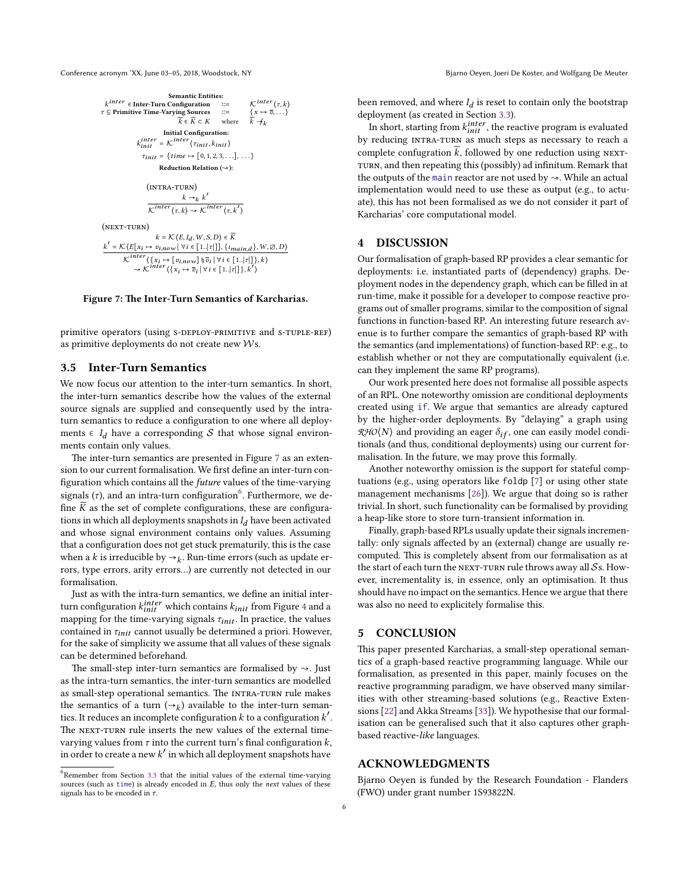<span id="page-5-1"></span>Conference acronym 'XX, June 03-05, 2018, Woodstock, NY Bjarno Oeyen, Joeri De Koster, and Wolfgang De Meuter



**Figure 7: The Inter-Turn Semantics of Karcharias.**

primitive operators (using s-DEPLOY-PRIMITIVE and S-TUPLE-REF) as primitive deployments do not create new Ws.

#### <span id="page-5-0"></span>**3.5 Inter-Turn Semantics**

We now focus our attention to the inter-turn semantics. In short, the inter-turn semantics describe how the values of the external source signals are supplied and consequently used by the intraturn semantics to reduce a configuration to one where all deployments  $\in I_d$  have a corresponding S that whose signal environments contain only values.

The inter-turn semantics are presented in Figure [7](#page-5-1) as an extension to our current formalisation. We first define an inter-turn configuration which contains all the *future* values of the time-varying signals ( $\tau$ ), and an intra-turn configuration<sup>[6](#page-5-2)</sup>. Furthermore, we define  $\widetilde{K}$  as the set of complete configurations, these are configurations in which all deployments snapshots in  $I_d$  have been activated and whose signal environment contains only values. Assuming that a configuration does not get stuck prematurily, this is the case when a *k* is irreducible by  $\rightarrow$ <sub>*k*</sub>. Run-time errors (such as update errors, type errors, arity errors…) are currently not detected in our formalisation.

Just as with the intra-turn semantics, we define an initial interturn configuration  $k_{init}^{inter}$  which contains  $k_{init}$  from Figure [4](#page-4-0) and a mapping for the time-varying signals  $\tau_{init}$ . In practice, the values contained in  $\tau_{init}$  cannot usually be determined a priori. However, for the sake of simplicity we assume that all values of these signals can be determined beforehand.

The small-step inter-turn semantics are formalised by  $\sim$ . Just as the intra-turn semantics, the inter-turn semantics are modelled as small-step operational semantics. The INTRA-TURN rule makes the semantics of a turn  $(\rightarrow_k)$  available to the inter-turn semantics. It reduces an incomplete configuration  $k$  to a configuration  $k^{\prime}.$ The NEXT-TURN rule inserts the new values of the external timevarying values from  $\tau$  into the current turn's final configuration  $k$ , in order to create a new  $k'$  in which all deployment snapshots have

been removed, and where  $I_d$  is reset to contain only the bootstrap deployment (as created in Section [3.3\)](#page-3-1).

In short, starting from  $k_{init}^{inter}$  , the reactive program is evaluated by reducing intRa-tuRn as much steps as necessary to reach a complete confugration  $\widetilde{k}$ , followed by one reduction using NEXT-TURN, and then repeating this (possibly) ad infinitum. Remark that the outputs of the main reactor are not used by  $\sim$ . While an actual implementation would need to use these as output (e.g., to actuate), this has not been formalised as we do not consider it part of Karcharias' core computational model.

#### **4 DISCUSSION**

Our formalisation of graph-based RP provides a clear semantic for deployments: i.e. instantiated parts of (dependency) graphs. Deployment nodes in the dependency graph, which can be filled in at run-time, make it possible for a developer to compose reactive programs out of smaller programs, similar to the composition of signal functions in function-based RP. An interesting future research avenue is to further compare the semantics of graph-based RP with the semantics (and implementations) of function-based RP: e.g., to establish whether or not they are computationally equivalent (i.e. can they implement the same RP programs).

Our work presented here does not formalise all possible aspects of an RPL. One noteworthy omission are conditional deployments created using if. We argue that semantics are already captured by the higher-order deployments. By "delaying" a graph using  $\mathcal{R} \mathcal{H} \mathcal{O} \langle N \rangle$  and providing an eager  $\delta_{if}$ , one can easily model conditionals (and thus, conditional deployments) using our current formalisation. In the future, we may prove this formally.

Another noteworthy omission is the support for stateful comptuations (e.g., using operators like foldp [\[7](#page-6-31)] or using other state management mechanisms [\[26\]](#page-6-27)). We argue that doing so is rather trivial. In short, such functionality can be formalised by providing a heap-like store to store turn-transient information in.

Finally, graph-based RPLs usually update their signals incrementally: only signals affected by an (external) change are usually recomputed. This is completely absent from our formalisation as at the start of each turn the NEXT-TURN rule throws away all  $S$ s. However, incrementality is, in essence, only an optimisation. It thus should have no impact on the semantics. Hence we argue that there was also no need to explicitely formalise this.

#### **5 CONCLUSION**

This paper presented Karcharias, a small-step operational semantics of a graph-based reactive programming language. While our formalisation, as presented in this paper, mainly focuses on the reactive programming paradigm, we have observed many similarities with other streaming-based solutions (e.g., Reactive Extensions[[22\]](#page-6-32) and Akka Streams [\[33\]](#page-6-33)). We hypothesise that our formalisation can be generalised such that it also captures other graphbased reactive-*like* languages.

#### **ACKNOWLEDGMENTS**

Bjarno Oeyen is funded by the Research Foundation - Flanders (FWO) under grant number 1S93822N.

<span id="page-5-2"></span><sup>&</sup>lt;sup>6</sup>Remember from Section [3.3](#page-3-1) that the initial values of the external time-varying sources (such as time) is already encoded in E, thus only the *next* values of these signals has to be encoded in  $\tau.$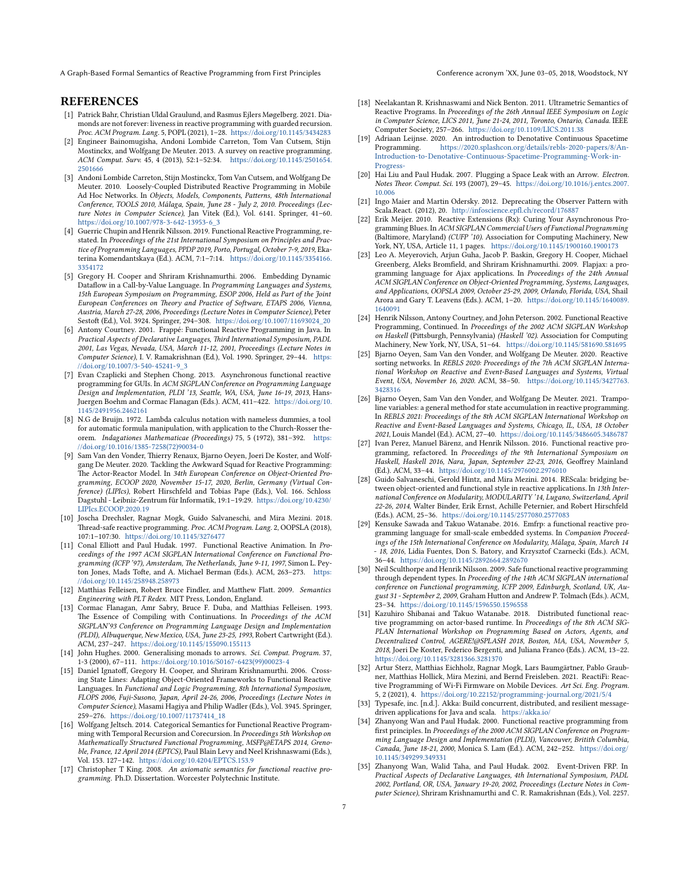A Graph-Based Formal Semantics of Reactive Programming from First Principles Conference acronym 'XX, June 03-05, 2018, Woodstock, NY

#### **REFERENCES**

- <span id="page-6-12"></span>[1] Patrick Bahr, Christian Uldal Graulund, and Rasmus Ejlers Møgelberg. 2021. Diamonds are not forever: liveness in reactive programming with guarded recursion. *Proc. ACM Program. Lang.* 5, POPL (2021), 1–28. <https://doi.org/10.1145/3434283>
- <span id="page-6-0"></span>[2] Engineer Bainomugisha, Andoni Lombide Carreton, Tom Van Cutsem, Stijn Mostinckx, and Wolfgang De Meuter. 2013. A survey on reactive programming. *ACM Comput. Surv.* 45, 4 (2013), 52:1–52:34. [https://doi.org/10.1145/2501654.](https://doi.org/10.1145/2501654.2501666) [2501666](https://doi.org/10.1145/2501654.2501666)
- <span id="page-6-21"></span>[3] Andoni Lombide Carreton, Stijn Mostinckx, Tom Van Cutsem, and Wolfgang De Meuter. 2010. Loosely-Coupled Distributed Reactive Programming in Mobile Ad Hoc Networks. In *Objects, Models, Components, Patterns, 48th International Conference, TOOLS 2010, Málaga, Spain, June 28 - July 2, 2010. Proceedings (Lecture Notes in Computer Science)*, Jan Vitek (Ed.), Vol. 6141. Springer, 41–60. [https://doi.org/10.1007/978-3-642-13953-6\\_3](https://doi.org/10.1007/978-3-642-13953-6_3)
- <span id="page-6-3"></span>[4] Guerric Chupin and Henrik Nilsson. 2019. Functional Reactive Programming, restated. In *Proceedings of the 21st International Symposium on Principles and Practice of Programming Languages, PPDP 2019, Porto, Portugal, October 7-9, 2019*, Ekaterina Komendantskaya (Ed.). ACM, 7:1–7:14. [https://doi.org/10.1145/3354166.](https://doi.org/10.1145/3354166.3354172) [3354172](https://doi.org/10.1145/3354166.3354172)
- <span id="page-6-5"></span>[5] Gregory H. Cooper and Shriram Krishnamurthi. 2006. Embedding Dynamic Dataflow in a Call-by-Value Language. In *Programming Languages and Systems, 15th European Symposium on Programming, ESOP 2006, Held as Part of the Joint European Conferences on Theory and Practice of Software, ETAPS 2006, Vienna, Austria, March 27-28, 2006, Proceedings (Lecture Notes in Computer Science)*, Peter Sestoft (Ed.), Vol. 3924. Springer, 294–308. [https://doi.org/10.1007/11693024\\_20](https://doi.org/10.1007/11693024_20)
- <span id="page-6-6"></span>[6] Antony Courtney. 2001. Frappé: Functional Reactive Programming in Java. In *Practical Aspects of Declarative Languages, Third International Symposium, PADL 2001, Las Vegas, Nevada, USA, March 11-12, 2001, Proceedings (Lecture Notes in Computer Science)*, I. V. Ramakrishnan (Ed.), Vol. 1990. Springer, 29–44. [https:](https://doi.org/10.1007/3-540-45241-9_3) [//doi.org/10.1007/3-540-45241-9\\_3](https://doi.org/10.1007/3-540-45241-9_3)
- <span id="page-6-31"></span>[7] Evan Czaplicki and Stephen Chong. 2013. Asynchronous functional reactive programming for GUIs. In *ACM SIGPLAN Conference on Programming Language Design and Implementation, PLDI '13, Seattle, WA, USA, June 16-19, 2013*, Hans-Juergen Boehm and Cormac Flanagan (Eds.). ACM, 411–422. [https://doi.org/10.](https://doi.org/10.1145/2491956.2462161) [1145/2491956.2462161](https://doi.org/10.1145/2491956.2462161)
- <span id="page-6-30"></span>[8] N.G de Bruijn. 1972. Lambda calculus notation with nameless dummies, a tool for automatic formula manipulation, with application to the Church-Rosser theorem. *Indagationes Mathematicae (Proceedings)* 75, 5 (1972), 381–392. [https:](https://doi.org/10.1016/1385-7258(72)90034-0) [//doi.org/10.1016/1385-7258\(72\)90034-0](https://doi.org/10.1016/1385-7258(72)90034-0)
- <span id="page-6-19"></span>[9] Sam Van den Vonder, Thierry Renaux, Bjarno Oeyen, Joeri De Koster, and Wolfgang De Meuter. 2020. Tackling the Awkward Squad for Reactive Programming: The Actor-Reactor Model. In *34th European Conference on Object-Oriented Programming, ECOOP 2020, November 15-17, 2020, Berlin, Germany (Virtual Conference) (LIPIcs)*, Robert Hirschfeld and Tobias Pape (Eds.), Vol. 166. Schloss Dagstuhl - Leibniz-Zentrum für Informatik, 19:1–19:29. [https://doi.org/10.4230/](https://doi.org/10.4230/LIPIcs.ECOOP.2020.19) [LIPIcs.ECOOP.2020.19](https://doi.org/10.4230/LIPIcs.ECOOP.2020.19)
- <span id="page-6-16"></span>[10] Joscha Drechsler, Ragnar Mogk, Guido Salvaneschi, and Mira Mezini. 2018. Thread-safe reactive programming. *Proc. ACM Program. Lang.* 2, OOPSLA (2018), 107:1–107:30. <https://doi.org/10.1145/3276477>
- <span id="page-6-1"></span>[11] Conal Elliott and Paul Hudak. 1997. Functional Reactive Animation. In *Proceedings of the 1997 ACM SIGPLAN International Conference on Functional Programming (ICFP '97), Amsterdam, The Netherlands, June 9-11, 1997*, Simon L. Peyton Jones, Mads Tofte, and A. Michael Berman (Eds.). ACM, 263–273. [https:](https://doi.org/10.1145/258948.258973) [//doi.org/10.1145/258948.258973](https://doi.org/10.1145/258948.258973)
- <span id="page-6-28"></span>[12] Matthias Felleisen, Robert Bruce Findler, and Matthew Flatt. 2009. *Semantics Engineering with PLT Redex*. MIT Press, London, England.
- <span id="page-6-29"></span>[13] Cormac Flanagan, Amr Sabry, Bruce F. Duba, and Matthias Felleisen. 1993. The Essence of Compiling with Continuations. In *Proceedings of the ACM SIGPLAN'93 Conference on Programming Language Design and Implementation (PLDI), Albuquerque, New Mexico, USA, June 23-25, 1993*, Robert Cartwright (Ed.). ACM, 237–247. <https://doi.org/10.1145/155090.155113>
- <span id="page-6-11"></span>[14] John Hughes. 2000. Generalising monads to arrows. *Sci. Comput. Program.* 37, 1-3 (2000), 67–111. [https://doi.org/10.1016/S0167-6423\(99\)00023-4](https://doi.org/10.1016/S0167-6423(99)00023-4)
- <span id="page-6-18"></span>[15] Daniel Ignatoff, Gregory H. Cooper, and Shriram Krishnamurthi. 2006. Crossing State Lines: Adapting Object-Oriented Frameworks to Functional Reactive Languages. In *Functional and Logic Programming, 8th International Symposium, FLOPS 2006, Fuji-Susono, Japan, April 24-26, 2006, Proceedings (Lecture Notes in Computer Science)*, Masami Hagiya and Philip Wadler (Eds.), Vol. 3945. Springer, 259–276. [https://doi.org/10.1007/11737414\\_18](https://doi.org/10.1007/11737414_18)
- <span id="page-6-24"></span>[16] Wolfgang Jeltsch. 2014. Categorical Semantics for Functional Reactive Programming with Temporal Recursion and Corecursion. In *Proceedings 5th Workshop on Mathematically Structured Functional Programming, MSFP@ETAPS 2014, Grenoble, France, 12 April 2014 (EPTCS)*, Paul Blain Levy and Neel Krishnaswami (Eds.), Vol. 153. 127–142. <https://doi.org/10.4204/EPTCS.153.9>
- [17] Christopher T King. 2008. An axiomatic semantics for functional reactive pro*gramming*. Ph.D. Dissertation. Worcester Polytechnic Institute.
- <span id="page-6-25"></span>[18] Neelakantan R. Krishnaswami and Nick Benton. 2011. Ultrametric Semantics of Reactive Programs. In *Proceedings of the 26th Annual IEEE Symposium on Logic in Computer Science, LICS 2011, June 21-24, 2011, Toronto, Ontario, Canada*. IEEE Computer Society, 257–266. <https://doi.org/10.1109/LICS.2011.38>
- <span id="page-6-22"></span>[19] Adriaan Leijnse. 2020. An introduction to Denotative Continuous Spacetime Programming. [https://2020.splashcon.org/details/rebls-2020-papers/8/An-](https://2020.splashcon.org/details/rebls-2020-papers/8/An-Introduction-to-Denotative-Continuous-Spacetime-Programming-Work-in-Progress-)[Introduction-to-Denotative-Continuous-Spacetime-Programming-Work-in-](https://2020.splashcon.org/details/rebls-2020-papers/8/An-Introduction-to-Denotative-Continuous-Spacetime-Programming-Work-in-Progress-)[Progress-](https://2020.splashcon.org/details/rebls-2020-papers/8/An-Introduction-to-Denotative-Continuous-Spacetime-Programming-Work-in-Progress-)
- <span id="page-6-10"></span>[20] Hai Liu and Paul Hudak. 2007. Plugging a Space Leak with an Arrow. *Electron. Notes Theor. Comput. Sci.* 193 (2007), 29–45. [https://doi.org/10.1016/j.entcs.2007.](https://doi.org/10.1016/j.entcs.2007.10.006) [10.006](https://doi.org/10.1016/j.entcs.2007.10.006)
- <span id="page-6-14"></span>[21] Ingo Maier and Martin Odersky. 2012. Deprecating the Observer Pattern with Scala.React. (2012), 20. <http://infoscience.epfl.ch/record/176887>
- <span id="page-6-32"></span>[22] Erik Meijer. 2010. Reactive Extensions (Rx): Curing Your Asynchronous Programming Blues. In *ACM SIGPLAN Commercial Users of Functional Programming* (Baltimore, Maryland) *(CUFP '10)*. Association for Computing Machinery, New York, NY, USA, Article 11, 1 pages. <https://doi.org/10.1145/1900160.1900173>
- <span id="page-6-8"></span>[23] Leo A. Meyerovich, Arjun Guha, Jacob P. Baskin, Gregory H. Cooper, Michael Greenberg, Aleks Bromfield, and Shriram Krishnamurthi. 2009. Flapjax: a programming language for Ajax applications. In *Proceedings of the 24th Annual ACM SIGPLAN Conference on Object-Oriented Programming, Systems, Languages, and Applications, OOPSLA 2009, October 25-29, 2009, Orlando, Florida, USA*, Shail Arora and Gary T. Leavens (Eds.). ACM, 1–20. [https://doi.org/10.1145/1640089.](https://doi.org/10.1145/1640089.1640091) [1640091](https://doi.org/10.1145/1640089.1640091)
- <span id="page-6-2"></span>[24] Henrik Nilsson, Antony Courtney, and John Peterson. 2002. Functional Reactive Programming, Continued. In *Proceedings of the 2002 ACM SIGPLAN Workshop on Haskell* (Pittsburgh, Pennsylvania) *(Haskell '02)*. Association for Computing Machinery, New York, NY, USA, 51–64. <https://doi.org/10.1145/581690.581695>
- <span id="page-6-26"></span>[25] Bjarno Oeyen, Sam Van den Vonder, and Wolfgang De Meuter. 2020. Reactive sorting networks. In *REBLS 2020: Proceedings of the 7th ACM SIGPLAN International Workshop on Reactive and Event-Based Languages and Systems, Virtual Event, USA, November 16, 2020*. ACM, 38–50. [https://doi.org/10.1145/3427763.](https://doi.org/10.1145/3427763.3428316) [3428316](https://doi.org/10.1145/3427763.3428316)
- <span id="page-6-27"></span>[26] Bjarno Oeyen, Sam Van den Vonder, and Wolfgang De Meuter. 2021. Trampoline variables: a general method for state accumulation in reactive programming. In *REBLS 2021: Proceedings of the 8th ACM SIGPLAN International Workshop on Reactive and Event-Based Languages and Systems, Chicago, IL, USA, 18 October 2021*, Louis Mandel (Ed.). ACM, 27–40. <https://doi.org/10.1145/3486605.3486787>
- <span id="page-6-4"></span>[27] Ivan Perez, Manuel Bärenz, and Henrik Nilsson. 2016. Functional reactive programming, refactored. In *Proceedings of the 9th International Symposium on Haskell, Haskell 2016, Nara, Japan, September 22-23, 2016*, Geoffrey Mainland (Ed.). ACM, 33–44. <https://doi.org/10.1145/2976002.2976010>
- <span id="page-6-7"></span>[28] Guido Salvaneschi, Gerold Hintz, and Mira Mezini. 2014. REScala: bridging between object-oriented and functional style in reactive applications. In *13th International Conference on Modularity, MODULARITY '14, Lugano, Switzerland, April 22-26, 2014*, Walter Binder, Erik Ernst, Achille Peternier, and Robert Hirschfeld (Eds.). ACM, 25–36. <https://doi.org/10.1145/2577080.2577083>
- <span id="page-6-15"></span>[29] Kensuke Sawada and Takuo Watanabe. 2016. Emfrp: a functional reactive programming language for small-scale embedded systems. In *Companion Proceedings of the 15th International Conference on Modularity, Málaga, Spain, March 14 - 18, 2016*, Lidia Fuentes, Don S. Batory, and Krzysztof Czarnecki (Eds.). ACM, 36–44. <https://doi.org/10.1145/2892664.2892670>
- <span id="page-6-13"></span>[30] Neil Sculthorpe and Henrik Nilsson. 2009. Safe functional reactive programming through dependent types. In *Proceeding of the 14th ACM SIGPLAN international conference on Functional programming, ICFP 2009, Edinburgh, Scotland, UK, August 31 - September 2, 2009*, Graham Hutton and Andrew P. Tolmach (Eds.). ACM, 23–34. <https://doi.org/10.1145/1596550.1596558>
- <span id="page-6-20"></span>[31] Kazuhiro Shibanai and Takuo Watanabe. 2018. Distributed functional reactive programming on actor-based runtime. In *Proceedings of the 8th ACM SIG-PLAN International Workshop on Programming Based on Actors, Agents, and Decentralized Control, AGERE!@SPLASH 2018, Boston, MA, USA, November 5, 2018*, Joeri De Koster, Federico Bergenti, and Juliana Franco (Eds.). ACM, 13–22. <https://doi.org/10.1145/3281366.3281370>
- <span id="page-6-17"></span>[32] Artur Sterz, Matthias Eichholz, Ragnar Mogk, Lars Baumgärtner, Pablo Graubner, Matthias Hollick, Mira Mezini, and Bernd Freisleben. 2021. ReactiFi: Reactive Programming of Wi-Fi Firmware on Mobile Devices. *Art Sci. Eng. Program.* 5, 2 (2021), 4. <https://doi.org/10.22152/programming-journal.org/2021/5/4>
- <span id="page-6-33"></span>[33] Typesafe, inc. [n.d.]. Akka: Build concurrent, distributed, and resilient messagedriven applications for Java and scala. <https://akka.io/>
- <span id="page-6-9"></span>[34] Zhanyong Wan and Paul Hudak. 2000. Functional reactive programming from first principles. In *Proceedings of the 2000 ACM SIGPLAN Conference on Programming Language Design and Implementation (PLDI), Vancouver, Britith Columbia, Canada, June 18-21, 2000*, Monica S. Lam (Ed.). ACM, 242–252. [https://doi.org/](https://doi.org/10.1145/349299.349331) [10.1145/349299.349331](https://doi.org/10.1145/349299.349331)
- <span id="page-6-23"></span>[35] Zhanyong Wan, Walid Taha, and Paul Hudak. 2002. Event-Driven FRP. In *Practical Aspects of Declarative Languages, 4th International Symposium, PADL 2002, Portland, OR, USA, January 19-20, 2002, Proceedings (Lecture Notes in Computer Science)*, Shriram Krishnamurthi and C. R. Ramakrishnan (Eds.), Vol. 2257.